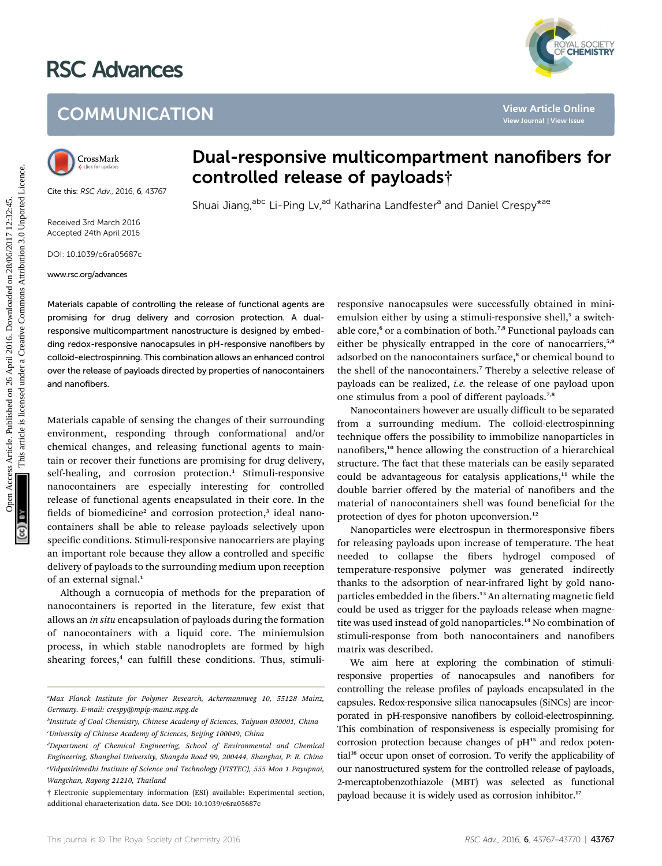# RSC Advances



# **COMMUNICATION**



Cite this: RSC Adv., 2016, 6, 43767

Received 3rd March 2016 Accepted 24th April 2016

DOI: 10.1039/c6ra05687c

www.rsc.org/advances

## Dual-responsive multicompartment nanofibers for controlled release of payloads†

Shuai Jiang,<sup>abc</sup> Li-Ping Lv,<sup>ad</sup> Katharina Landfester<sup>a</sup> and Daniel Crespy<sup>\*ae</sup>

Materials capable of controlling the release of functional agents are promising for drug delivery and corrosion protection. A dualresponsive multicompartment nanostructure is designed by embedding redox-responsive nanocapsules in pH-responsive nanofibers by colloid-electrospinning. This combination allows an enhanced control over the release of payloads directed by properties of nanocontainers and nanofibers.

Materials capable of sensing the changes of their surrounding environment, responding through conformational and/or chemical changes, and releasing functional agents to maintain or recover their functions are promising for drug delivery, self-healing, and corrosion protection.<sup>1</sup> Stimuli-responsive nanocontainers are especially interesting for controlled release of functional agents encapsulated in their core. In the fields of biomedicine<sup>2</sup> and corrosion protection,<sup>3</sup> ideal nanocontainers shall be able to release payloads selectively upon specific conditions. Stimuli-responsive nanocarriers are playing an important role because they allow a controlled and specific delivery of payloads to the surrounding medium upon reception of an external signal.<sup>1</sup>

Although a cornucopia of methods for the preparation of nanocontainers is reported in the literature, few exist that allows an in situ encapsulation of payloads during the formation of nanocontainers with a liquid core. The miniemulsion process, in which stable nanodroplets are formed by high shearing forces,<sup>4</sup> can fulfill these conditions. Thus, stimuliresponsive nanocapsules were successfully obtained in miniemulsion either by using a stimuli-responsive shell,<sup>5</sup> a switchable core,<sup>6</sup> or a combination of both.<sup>7,8</sup> Functional payloads can either be physically entrapped in the core of nanocarriers,<sup>5,9</sup> adsorbed on the nanocontainers surface,<sup>8</sup> or chemical bound to the shell of the nanocontainers.<sup>7</sup> Thereby a selective release of payloads can be realized, i.e. the release of one payload upon one stimulus from a pool of different payloads.7,8

Nanocontainers however are usually difficult to be separated from a surrounding medium. The colloid-electrospinning technique offers the possibility to immobilize nanoparticles in nanofibers,<sup>10</sup> hence allowing the construction of a hierarchical structure. The fact that these materials can be easily separated could be advantageous for catalysis applications, $11$  while the double barrier offered by the material of nanofibers and the material of nanocontainers shell was found beneficial for the protection of dyes for photon upconversion.<sup>12</sup> COMMUNICATION<br>
Case this acc. As 2016, 4, 4707<br>
Case this acc. As 2016, 4, 4707<br>
Case this acc. As 2016, 4, 4707<br>
Shuai Jiang<sup>ake</sup> Li-Ping Ly,<sup>49</sup> Katharina Landfester" and Daniel Crespy<sup>Ase</sup><br>
Shuai Jiang<sup>ake</sup> Li-Ping Ly,

> Nanoparticles were electrospun in thermoresponsive fibers for releasing payloads upon increase of temperature. The heat needed to collapse the fibers hydrogel composed of temperature-responsive polymer was generated indirectly thanks to the adsorption of near-infrared light by gold nanoparticles embedded in the fibers.<sup>13</sup> An alternating magnetic field could be used as trigger for the payloads release when magnetite was used instead of gold nanoparticles.<sup>14</sup> No combination of stimuli-response from both nanocontainers and nanofibers matrix was described.

> We aim here at exploring the combination of stimuliresponsive properties of nanocapsules and nanofibers for controlling the release profiles of payloads encapsulated in the capsules. Redox-responsive silica nanocapsules (SiNCs) are incorporated in pH-responsive nanofibers by colloid-electrospinning. This combination of responsiveness is especially promising for corrosion protection because changes of pH<sup>15</sup> and redox potential<sup>16</sup> occur upon onset of corrosion. To verify the applicability of our nanostructured system for the controlled release of payloads, 2-mercaptobenzothiazole (MBT) was selected as functional payload because it is widely used as corrosion inhibitor.<sup>17</sup>

a Max Planck Institute for Polymer Research, Ackermannweg 10, 55128 Mainz, Germany. E-mail: crespy@mpip-mainz.mpg.de

b Institute of Coal Chemistry, Chinese Academy of Sciences, Taiyuan 030001, China c University of Chinese Academy of Sciences, Beijing 100049, China

<sup>&</sup>lt;sup>a</sup>Department of Chemical Engineering, School of Environmental and Chemical Engineering, Shanghai University, Shangda Road 99, 200444, Shanghai, P. R. China e Vidyasirimedhi Institute of Science and Technology (VISTEC), 555 Moo 1 Payupnai, Wangchan, Rayong 21210, Thailand

<sup>†</sup> Electronic supplementary information (ESI) available: Experimental section, additional characterization data. See DOI: 10.1039/c6ra05687c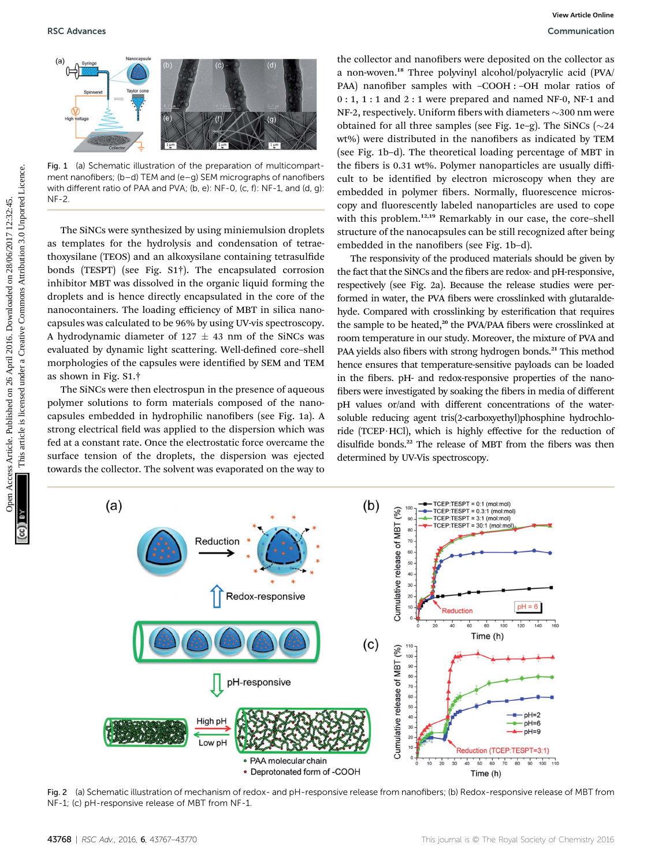

Fig. 1 (a) Schematic illustration of the preparation of multicompartment nanofibers; (b–d) TEM and (e–g) SEM micrographs of nanofibers with different ratio of PAA and PVA; (b, e): NF-0, (c, f): NF-1, and (d, q):  $NF-2$ 

The SiNCs were synthesized by using miniemulsion droplets as templates for the hydrolysis and condensation of tetraethoxysilane (TEOS) and an alkoxysilane containing tetrasulfide bonds (TESPT) (see Fig. S1†). The encapsulated corrosion inhibitor MBT was dissolved in the organic liquid forming the droplets and is hence directly encapsulated in the core of the nanocontainers. The loading efficiency of MBT in silica nanocapsules was calculated to be 96% by using UV-vis spectroscopy. A hydrodynamic diameter of  $127 \pm 43$  nm of the SiNCs was evaluated by dynamic light scattering. Well-defined core-shell morphologies of the capsules were identified by SEM and TEM as shown in Fig. S1.†

The SiNCs were then electrospun in the presence of aqueous polymer solutions to form materials composed of the nanocapsules embedded in hydrophilic nanofibers (see Fig. 1a). A strong electrical field was applied to the dispersion which was fed at a constant rate. Once the electrostatic force overcame the surface tension of the droplets, the dispersion was ejected towards the collector. The solvent was evaporated on the way to

the collector and nanofibers were deposited on the collector as a non-woven.<sup>18</sup> Three polyvinyl alcohol/polyacrylic acid (PVA/ PAA) nanofiber samples with -COOH : -OH molar ratios of 0 : 1, 1 : 1 and 2 : 1 were prepared and named NF-0, NF-1 and NF-2, respectively. Uniform fibers with diameters  $\sim$  300 nm were obtained for all three samples (see Fig. 1e–g). The SiNCs ( $\sim$ 24 wt%) were distributed in the nanofibers as indicated by TEM (see Fig. 1b–d). The theoretical loading percentage of MBT in the fibers is 0.31 wt%. Polymer nanoparticles are usually difficult to be identified by electron microscopy when they are embedded in polymer fibers. Normally, fluorescence microscopy and fluorescently labeled nanoparticles are used to cope with this problem.<sup>12,19</sup> Remarkably in our case, the core-shell structure of the nanocapsules can be still recognized after being embedded in the nanofibers (see Fig. 1b-d).

The responsivity of the produced materials should be given by the fact that the SiNCs and the fibers are redox- and pH-responsive. respectively (see Fig. 2a). Because the release studies were performed in water, the PVA fibers were crosslinked with glutaraldehyde. Compared with crosslinking by esterification that requires the sample to be heated,<sup>20</sup> the PVA/PAA fibers were crosslinked at room temperature in our study. Moreover, the mixture of PVA and PAA yields also fibers with strong hydrogen bonds.<sup>21</sup> This method hence ensures that temperature-sensitive payloads can be loaded in the fibers. pH- and redox-responsive properties of the nanofibers were investigated by soaking the fibers in media of different pH values or/and with different concentrations of the watersoluble reducing agent tris(2-carboxyethyl)phosphine hydrochloride (TCEP·HCl), which is highly effective for the reduction of disulfide bonds.<sup>22</sup> The release of MBT from the fibers was then determined by UV-Vis spectroscopy. **EXAMPRESS**<br> **OPEN ACCESS ARTICLE CONSULTERENT ACCESS ARTICLE CONSULTERENT ACCESS ARTICLE CONSULTERENT ACCESS ARTICLE (SO CREATIVE CONSULTERENT ACCESS ARTICLE CONSULTERENT ACCESS ARTICLE CONSULTERENT ACCESS ARTICLE CONSUL** 



Fig. 2 (a) Schematic illustration of mechanism of redox- and pH-responsive release from nanofibers; (b) Redox-responsive release of MBT from NF-1; (c) pH-responsive release of MBT from NF-1.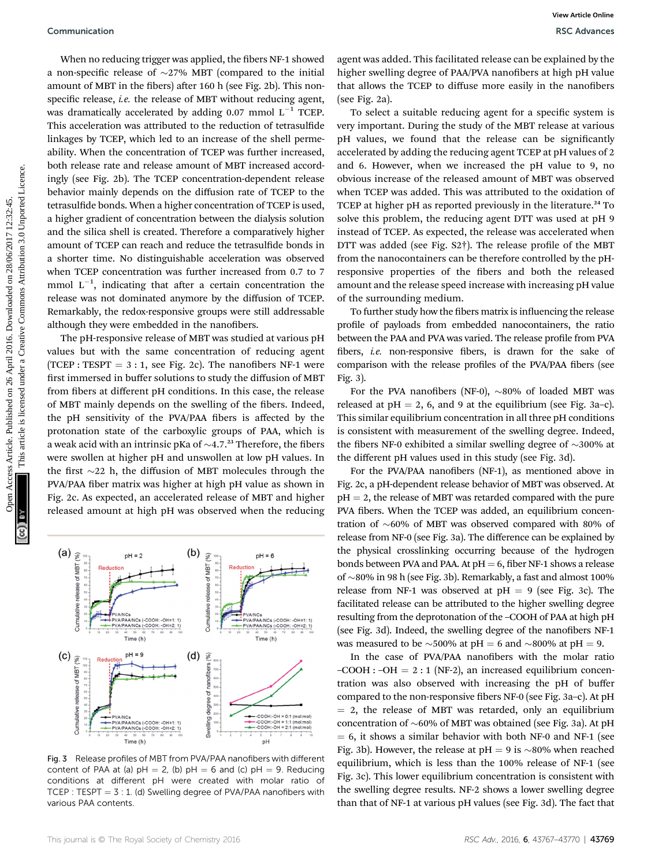**Communication** RSC Advances

When no reducing trigger was applied, the fibers NF-1 showed a non-specific release of  $\sim$ 27% MBT (compared to the initial amount of MBT in the fibers) after 160 h (see Fig. 2b). This nonspecific release, i.e. the release of MBT without reducing agent, was dramatically accelerated by adding 0.07 mmol  $L^{-1}$  TCEP. This acceleration was attributed to the reduction of tetrasulfide linkages by TCEP, which led to an increase of the shell permeability. When the concentration of TCEP was further increased, both release rate and release amount of MBT increased accordingly (see Fig. 2b). The TCEP concentration-dependent release behavior mainly depends on the diffusion rate of TCEP to the tetrasulfide bonds. When a higher concentration of TCEP is used, a higher gradient of concentration between the dialysis solution and the silica shell is created. Therefore a comparatively higher amount of TCEP can reach and reduce the tetrasulfide bonds in a shorter time. No distinguishable acceleration was observed when TCEP concentration was further increased from 0.7 to 7 mmol  $L^{-1}$ , indicating that after a certain concentration the release was not dominated anymore by the diffusion of TCEP. Remarkably, the redox-responsive groups were still addressable although they were embedded in the nanofibers. Communication<br>
When a consigned on 26 April 2016. This are the proposition of the common on 26 April 2016. This are the proposition of the common and the proposition of the Creative Common Common Common Common Common Comm

The pH-responsive release of MBT was studied at various pH values but with the same concentration of reducing agent (TCEP : TESPT =  $3:1$ , see Fig. 2c). The nanofibers NF-1 were first immersed in buffer solutions to study the diffusion of MBT from fibers at different pH conditions. In this case, the release of MBT mainly depends on the swelling of the fibers. Indeed, the pH sensitivity of the PVA/PAA fibers is affected by the protonation state of the carboxylic groups of PAA, which is a weak acid with an intrinsic pKa of  $\sim$ 4.7.<sup>23</sup> Therefore, the fibers were swollen at higher pH and unswollen at low pH values. In the first  $\sim$ 22 h, the diffusion of MBT molecules through the PVA/PAA fiber matrix was higher at high pH value as shown in Fig. 2c. As expected, an accelerated release of MBT and higher released amount at high pH was observed when the reducing



Fig. 3 Release profiles of MBT from PVA/PAA nanofibers with different content of PAA at (a)  $pH = 2$ , (b)  $pH = 6$  and (c)  $pH = 9$ . Reducing conditions at different pH were created with molar ratio of TCEP : TESPT  $=$  3 : 1. (d) Swelling degree of PVA/PAA nanofibers with various PAA contents.

agent was added. This facilitated release can be explained by the higher swelling degree of PAA/PVA nanofibers at high pH value that allows the TCEP to diffuse more easily in the nanofibers (see Fig. 2a).

To select a suitable reducing agent for a specific system is very important. During the study of the MBT release at various pH values, we found that the release can be significantly accelerated by adding the reducing agent TCEP at pH values of 2 and 6. However, when we increased the pH value to 9, no obvious increase of the released amount of MBT was observed when TCEP was added. This was attributed to the oxidation of TCEP at higher pH as reported previously in the literature.<sup>24</sup> To solve this problem, the reducing agent DTT was used at pH 9 instead of TCEP. As expected, the release was accelerated when DTT was added (see Fig.  $S2<sup>†</sup>$ ). The release profile of the MBT from the nanocontainers can be therefore controlled by the pHresponsive properties of the fibers and both the released amount and the release speed increase with increasing pH value of the surrounding medium.

To further study how the fibers matrix is influencing the release profile of payloads from embedded nanocontainers, the ratio between the PAA and PVA was varied. The release profile from PVA fibers, *i.e.* non-responsive fibers, is drawn for the sake of comparison with the release profiles of the PVA/PAA fibers (see Fig. 3).

For the PVA nanofibers (NF-0),  $\sim$ 80% of loaded MBT was released at  $pH = 2$ , 6, and 9 at the equilibrium (see Fig. 3a–c). This similar equilibrium concentration in all three pH conditions is consistent with measurement of the swelling degree. Indeed, the fibers NF-0 exhibited a similar swelling degree of  $\sim$ 300% at the different pH values used in this study (see Fig. 3d).

For the PVA/PAA nanofibers (NF-1), as mentioned above in Fig. 2c, a pH-dependent release behavior of MBT was observed. At  $pH = 2$ , the release of MBT was retarded compared with the pure PVA fibers. When the TCEP was added, an equilibrium concentration of  $~60\%$  of MBT was observed compared with 80% of release from NF-0 (see Fig. 3a). The difference can be explained by the physical crosslinking occurring because of the hydrogen bonds between PVA and PAA. At  $pH = 6$ , fiber NF-1 shows a release of  $\sim$ 80% in 98 h (see Fig. 3b). Remarkably, a fast and almost 100% release from NF-1 was observed at  $pH = 9$  (see Fig. 3c). The facilitated release can be attributed to the higher swelling degree resulting from the deprotonation of the –COOH of PAA at high pH (see Fig. 3d). Indeed, the swelling degree of the nanofibers NF-1 was measured to be  $\sim$  500% at pH = 6 and  $\sim$  800% at pH = 9.

In the case of PVA/PAA nanofibers with the molar ratio  $-COOH$  :  $-OH = 2:1$  (NF-2), an increased equilibrium concentration was also observed with increasing the pH of buffer compared to the non-responsive fibers NF-0 (see Fig. 3a-c). At pH  $= 2$ , the release of MBT was retarded, only an equilibrium concentration of  $\sim 60\%$  of MBT was obtained (see Fig. 3a). At pH  $= 6$ , it shows a similar behavior with both NF-0 and NF-1 (see Fig. 3b). However, the release at  $pH = 9$  is  $\sim 80\%$  when reached equilibrium, which is less than the 100% release of NF-1 (see Fig. 3c). This lower equilibrium concentration is consistent with the swelling degree results. NF-2 shows a lower swelling degree than that of NF-1 at various pH values (see Fig. 3d). The fact that